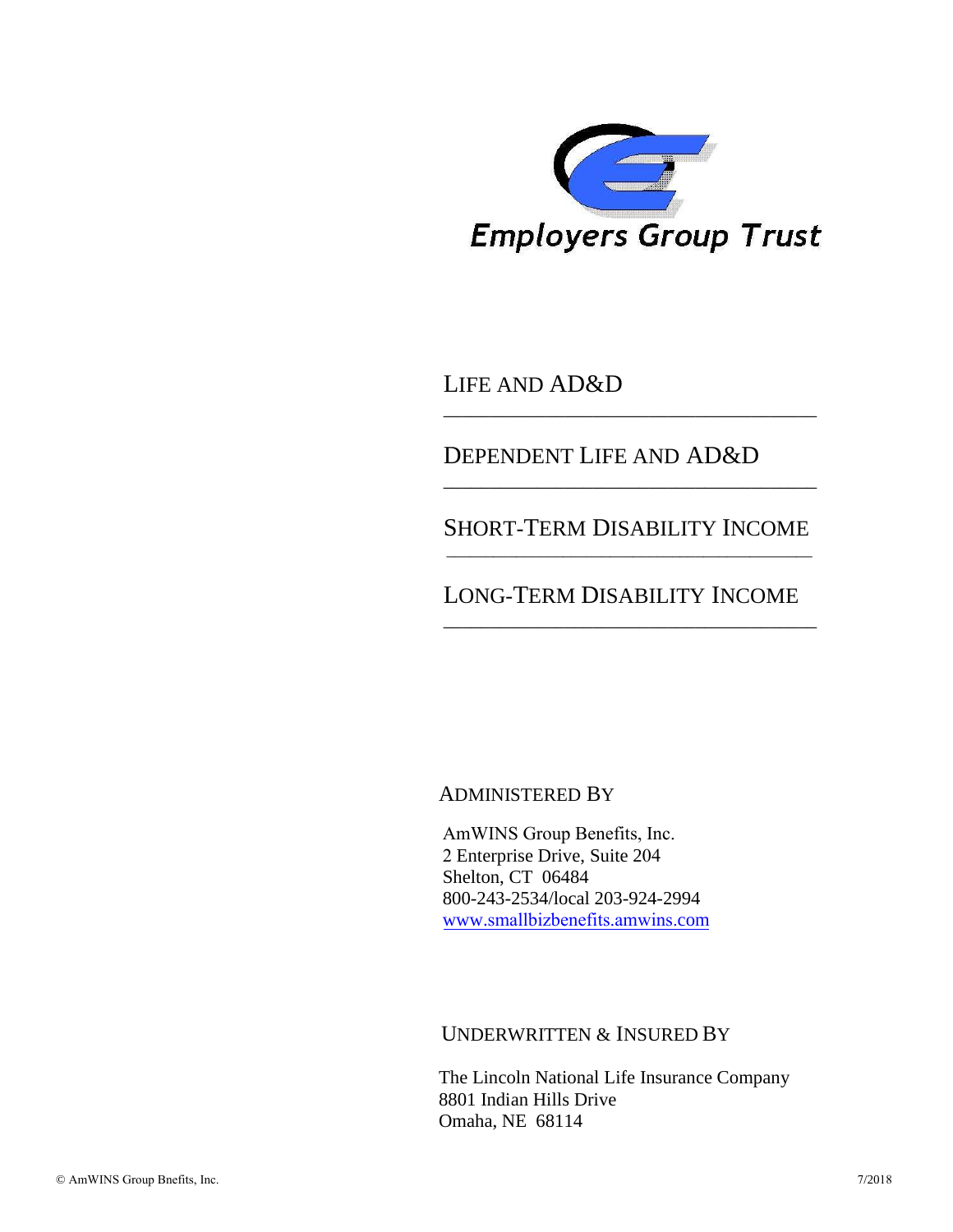

LIFE AND AD&D

### DEPENDENT LIFE AND AD&D

#### SHORT-TERM DISABILITY INCOME \_\_\_\_\_\_\_\_\_\_\_\_\_\_\_\_\_\_\_\_\_\_\_\_\_\_\_\_\_\_\_\_\_\_\_\_\_\_\_\_\_\_\_\_\_\_\_

\_\_\_\_\_\_\_\_\_\_\_\_\_\_\_\_\_\_\_\_\_\_\_\_\_\_\_\_\_\_\_\_\_\_\_\_\_\_\_\_

\_\_\_\_\_\_\_\_\_\_\_\_\_\_\_\_\_\_\_\_\_\_\_\_\_\_\_\_\_\_\_\_\_\_\_\_\_\_\_\_

### LONG-TERM DISABILITY INCOME

\_\_\_\_\_\_\_\_\_\_\_\_\_\_\_\_\_\_\_\_\_\_\_\_\_\_\_\_\_\_\_\_\_\_\_\_\_\_\_\_

### ADMINISTERED BY

AmWINS Group Benefits, Inc. 2 Enterprise Drive, Suite 204 Shelton, CT 06484 800-243-2534/local 203-924-2994 www.smallbizbenefits.amwins.com

### UNDERWRITTEN & INSURED BY

The Lincoln National Life Insurance Company 8801 Indian Hills Drive Omaha, NE 68114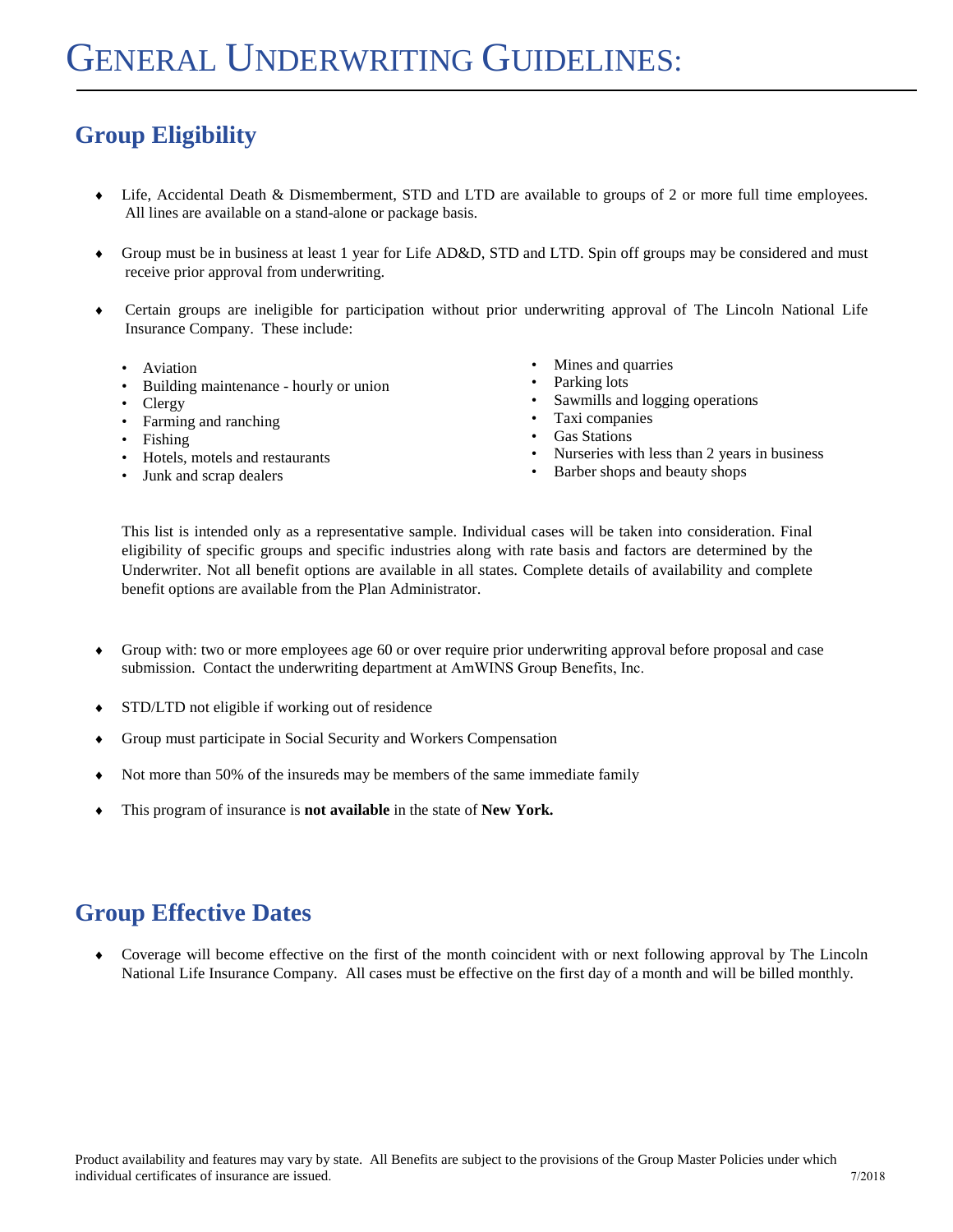# **Group Eligibility**

- Life, Accidental Death & Dismemberment, STD and LTD are available to groups of 2 or more full time employees. All lines are available on a stand-alone or package basis.
- Group must be in business at least 1 year for Life AD&D, STD and LTD. Spin off groups may be considered and must receive prior approval from underwriting.
- Certain groups are ineligible for participation without prior underwriting approval of The Lincoln National Life Insurance Company. These include:
	- Aviation
	- Building maintenance hourly or union
	- Clergy
	- Farming and ranching
	- Fishing
	- Hotels, motels and restaurants
	- Junk and scrap dealers
- Mines and quarries
- Parking lots
- Sawmills and logging operations
- Taxi companies
- Gas Stations
- Nurseries with less than 2 years in business
- Barber shops and beauty shops

This list is intended only as a representative sample. Individual cases will be taken into consideration. Final eligibility of specific groups and specific industries along with rate basis and factors are determined by the Underwriter. Not all benefit options are available in all states. Complete details of availability and complete benefit options are available from the Plan Administrator.

- Group with: two or more employees age 60 or over require prior underwriting approval before proposal and case submission. Contact the underwriting department at AmWINS Group Benefits, Inc.
- STD/LTD not eligible if working out of residence
- Group must participate in Social Security and Workers Compensation
- Not more than 50% of the insureds may be members of the same immediate family
- This program of insurance is **not available** in the state of **New York.**

### **Group Effective Dates**

 Coverage will become effective on the first of the month coincident with or next following approval by The Lincoln National Life Insurance Company. All cases must be effective on the first day of a month and will be billed monthly.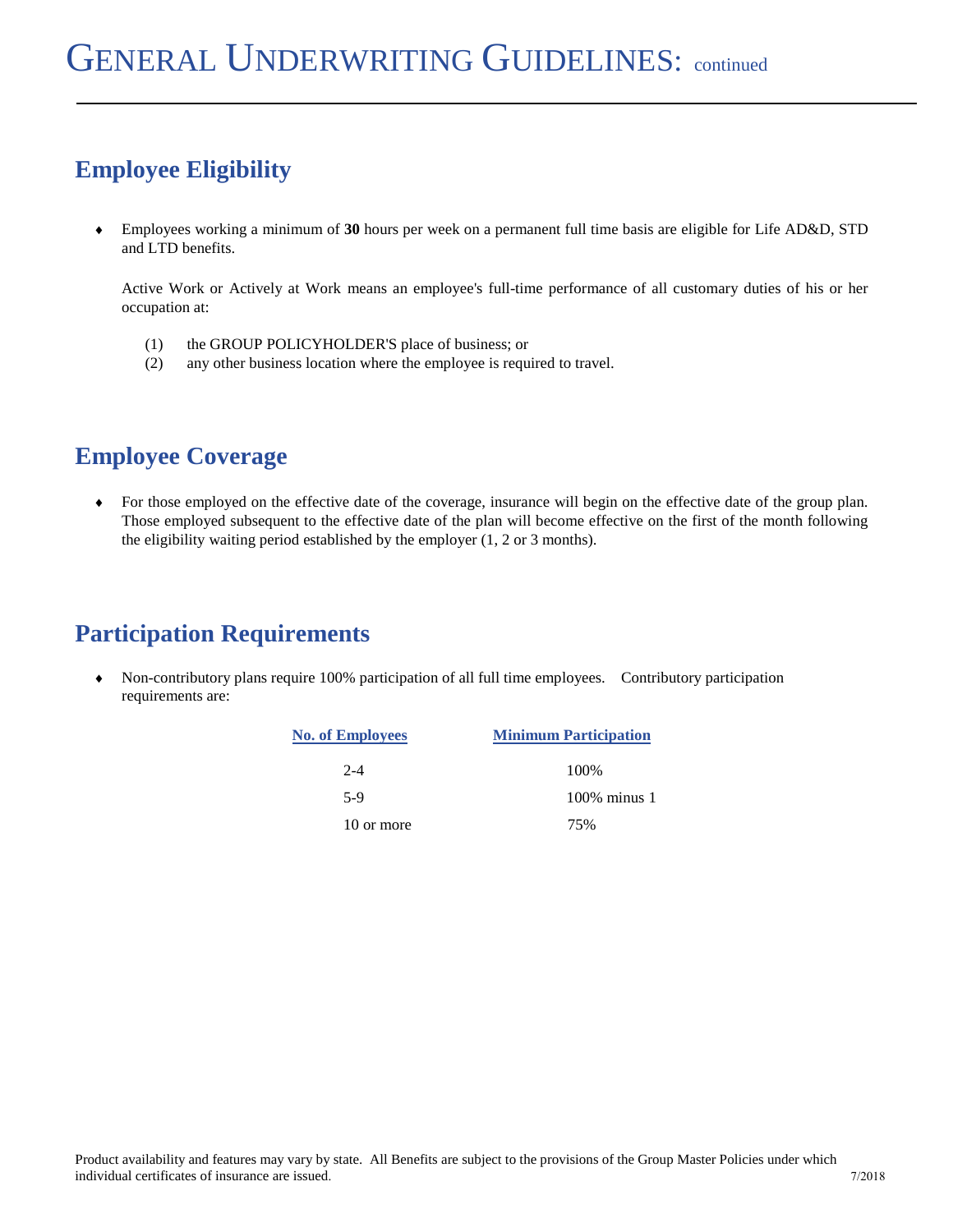# **Employee Eligibility**

 Employees working a minimum of **30** hours per week on a permanent full time basis are eligible for Life AD&D, STD and LTD benefits.

Active Work or Actively at Work means an employee's full-time performance of all customary duties of his or her occupation at:

- (1) the GROUP POLICYHOLDER'S place of business; or
- (2) any other business location where the employee is required to travel.

### **Employee Coverage**

 For those employed on the effective date of the coverage, insurance will begin on the effective date of the group plan. Those employed subsequent to the effective date of the plan will become effective on the first of the month following the eligibility waiting period established by the employer (1, 2 or 3 months).

### **Participation Requirements**

 Non-contributory plans require 100% participation of all full time employees. Contributory participation requirements are:

| <b>No. of Employees</b> | <b>Minimum Participation</b> |
|-------------------------|------------------------------|
| $2 - 4$                 | 100\%                        |
| 5-9                     | $100\%$ minus 1              |
| 10 or more              | 75%                          |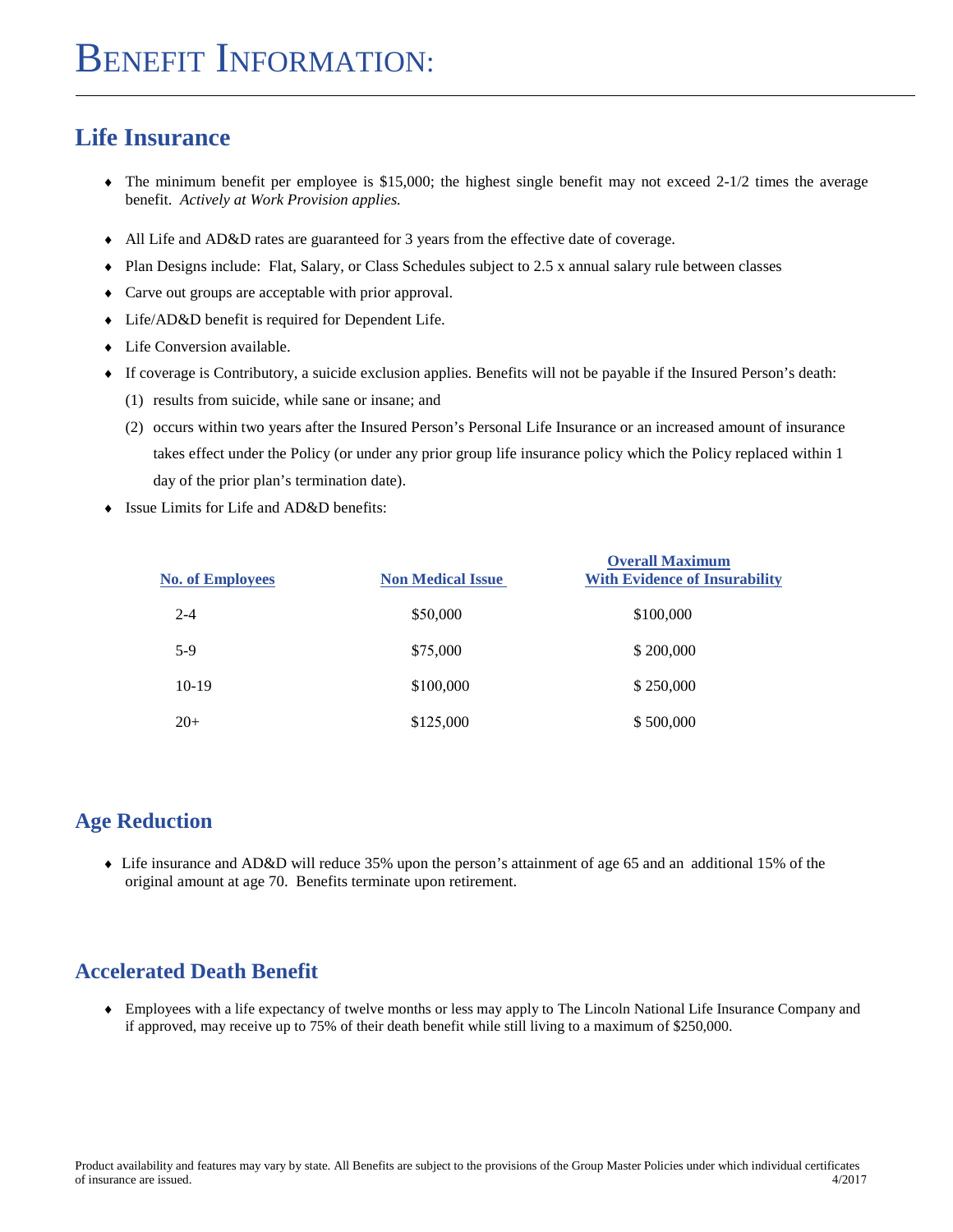### **Life Insurance**

- $\bullet$  The minimum benefit per employee is \$15,000; the highest single benefit may not exceed 2-1/2 times the average benefit. *Actively at Work Provision applies.*
- All Life and AD&D rates are guaranteed for 3 years from the effective date of coverage.
- Plan Designs include: Flat, Salary, or Class Schedules subject to 2.5 x annual salary rule between classes
- Carve out groups are acceptable with prior approval.
- Life/AD&D benefit is required for Dependent Life.
- Life Conversion available.
- If coverage is Contributory, a suicide exclusion applies. Benefits will not be payable if the Insured Person's death:
	- (1) results from suicide, while sane or insane; and
	- (2) occurs within two years after the Insured Person's Personal Life Insurance or an increased amount of insurance takes effect under the Policy (or under any prior group life insurance policy which the Policy replaced within 1 day of the prior plan's termination date).
- ◆ Issue Limits for Life and AD&D benefits:

| <b>No. of Employees</b> | <b>Non Medical Issue</b> | <b>Overall Maximum</b><br><b>With Evidence of Insurability</b> |
|-------------------------|--------------------------|----------------------------------------------------------------|
| $2 - 4$                 | \$50,000                 | \$100,000                                                      |
| $5-9$                   | \$75,000                 | \$200,000                                                      |
| $10-19$                 | \$100,000                | \$250,000                                                      |
| $20+$                   | \$125,000                | \$500,000                                                      |

#### **Age Reduction**

 Life insurance and AD&D will reduce 35% upon the person's attainment of age 65 and an additional 15% of the original amount at age 70. Benefits terminate upon retirement.

#### **Accelerated Death Benefit**

 Employees with a life expectancy of twelve months or less may apply to The Lincoln National Life Insurance Company and if approved, may receive up to 75% of their death benefit while still living to a maximum of \$250,000.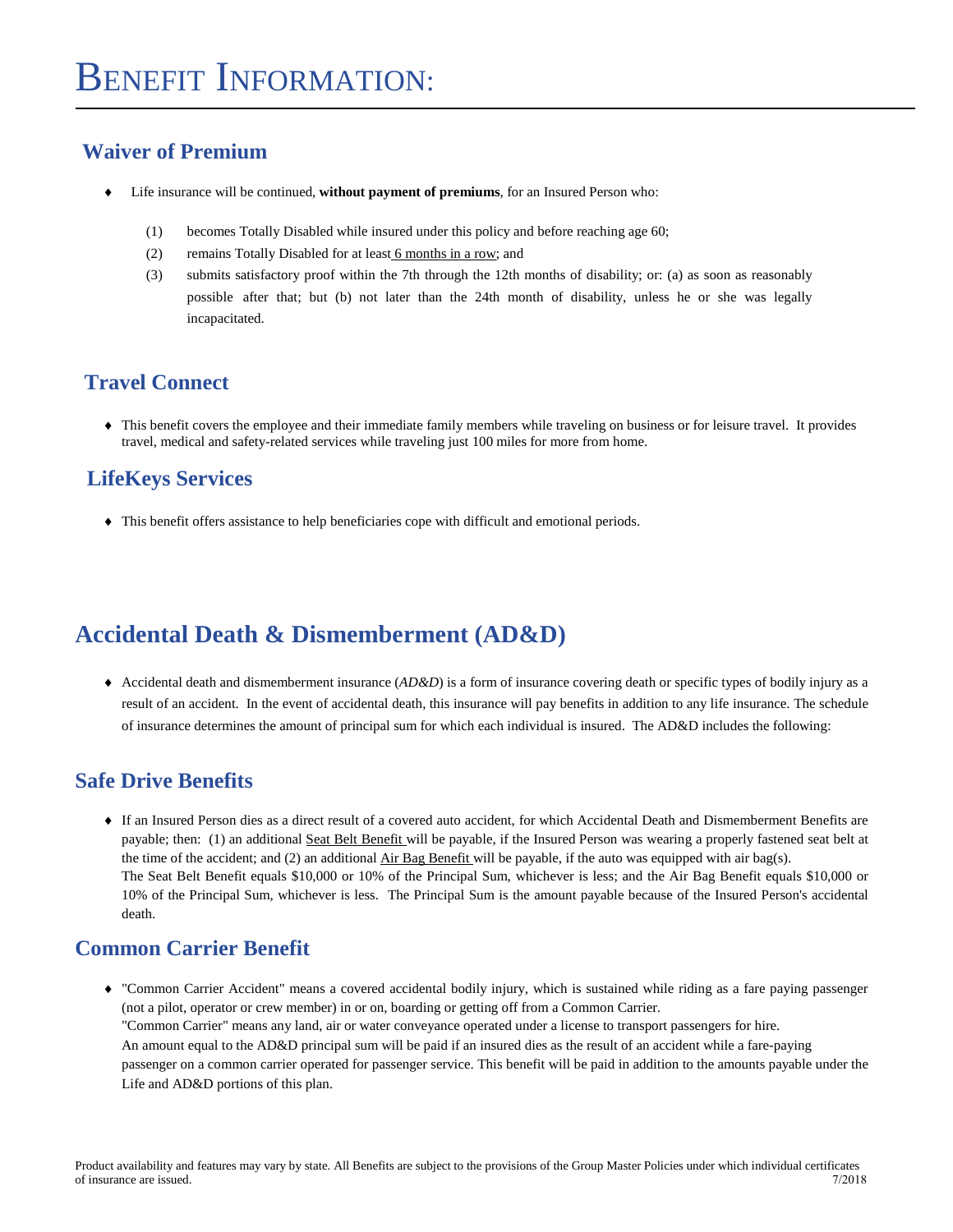#### **Waiver of Premium**

- Life insurance will be continued, **without payment of premiums**, for an Insured Person who:
	- (1) becomes Totally Disabled while insured under this policy and before reaching age 60;
	- (2) remains Totally Disabled for at least 6 months in a row; and
	- (3) submits satisfactory proof within the 7th through the 12th months of disability; or: (a) as soon as reasonably possible after that; but (b) not later than the 24th month of disability, unless he or she was legally incapacitated.

#### **Travel Connect**

 This benefit covers the employee and their immediate family members while traveling on business or for leisure travel. It provides travel, medical and safety-related services while traveling just 100 miles for more from home.

#### **LifeKeys Services**

This benefit offers assistance to help beneficiaries cope with difficult and emotional periods.

### **Accidental Death & Dismemberment (AD&D)**

 Accidental death and dismemberment insurance (*AD&D*) is a form of insurance covering death or specific types of bodily injury as a result of an accident. In the event of accidental death, this insurance will pay benefits in addition to any life insurance. The schedule of insurance determines the amount of principal sum for which each individual is insured. The AD&D includes the following:

#### **Safe Drive Benefits**

 If an Insured Person dies as a direct result of a covered auto accident, for which Accidental Death and Dismemberment Benefits are payable; then: (1) an additional Seat Belt Benefit will be payable, if the Insured Person was wearing a properly fastened seat belt at the time of the accident; and (2) an additional Air Bag Benefit will be payable, if the auto was equipped with air bag(s). The Seat Belt Benefit equals \$10,000 or 10% of the Principal Sum, whichever is less; and the Air Bag Benefit equals \$10,000 or 10% of the Principal Sum, whichever is less. The Principal Sum is the amount payable because of the Insured Person's accidental death.

### **Common Carrier Benefit**

 "Common Carrier Accident" means a covered accidental bodily injury, which is sustained while riding as a fare paying passenger (not a pilot, operator or crew member) in or on, boarding or getting off from a Common Carrier. "Common Carrier" means any land, air or water conveyance operated under a license to transport passengers for hire. An amount equal to the AD&D principal sum will be paid if an insured dies as the result of an accident while a fare-paying passenger on a common carrier operated for passenger service. This benefit will be paid in addition to the amounts payable under the Life and AD&D portions of this plan.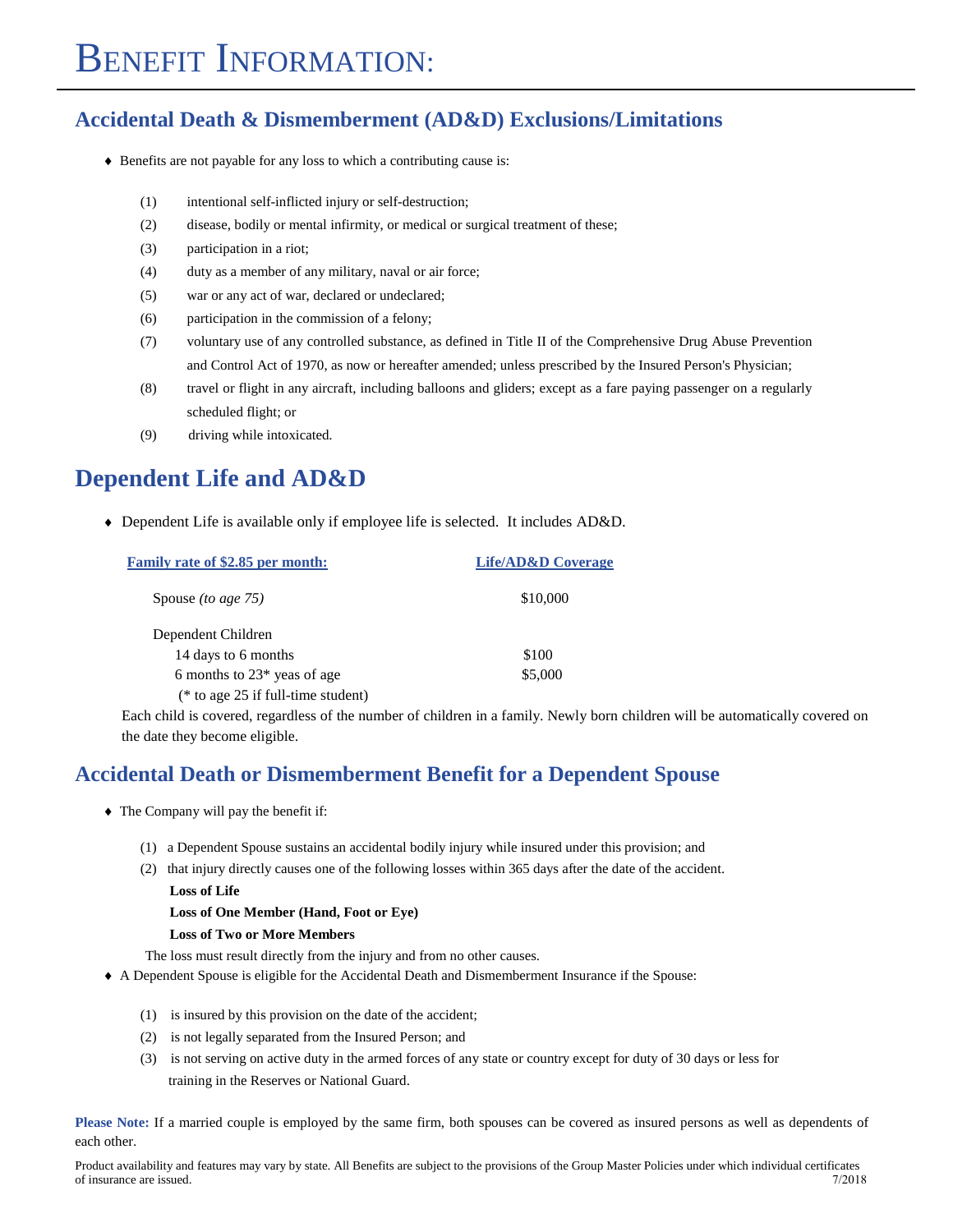#### **Accidental Death & Dismemberment (AD&D) Exclusions/Limitations**

- Benefits are not payable for any loss to which a contributing cause is:
	- (1) intentional self-inflicted injury or self-destruction;
	- (2) disease, bodily or mental infirmity, or medical or surgical treatment of these;
	- (3) participation in a riot;
	- (4) duty as a member of any military, naval or air force;
	- (5) war or any act of war, declared or undeclared;
	- (6) participation in the commission of a felony;
	- (7) voluntary use of any controlled substance, as defined in Title II of the Comprehensive Drug Abuse Prevention and Control Act of 1970, as now or hereafter amended; unless prescribed by the Insured Person's Physician;
	- (8) travel or flight in any aircraft, including balloons and gliders; except as a fare paying passenger on a regularly scheduled flight; or
	- (9) driving while intoxicated.

### **Dependent Life and AD&D**

Dependent Life is available only if employee life is selected. It includes AD&D.

| <b>Family rate of \$2.85 per month:</b> | <b>Life/AD&amp;D Coverage</b> |
|-----------------------------------------|-------------------------------|
| Spouse <i>(to age 75)</i>               | \$10,000                      |
| Dependent Children                      |                               |
| 14 days to 6 months                     | \$100                         |
| 6 months to $23*$ yeas of age           | \$5,000                       |
| ( $*$ to age 25 if full-time student)   |                               |

Each child is covered, regardless of the number of children in a family. Newly born children will be automatically covered on the date they become eligible.

#### **Accidental Death or Dismemberment Benefit for a Dependent Spouse**

- The Company will pay the benefit if:
	- (1) a Dependent Spouse sustains an accidental bodily injury while insured under this provision; and
	- (2) that injury directly causes one of the following losses within 365 days after the date of the accident. **Loss of Life**

```
Loss of One Member (Hand, Foot or Eye)
```
#### **Loss of Two or More Members**

The loss must result directly from the injury and from no other causes.

- A Dependent Spouse is eligible for the Accidental Death and Dismemberment Insurance if the Spouse:
	- (1) is insured by this provision on the date of the accident;
	- (2) is not legally separated from the Insured Person; and
	- (3) is not serving on active duty in the armed forces of any state or country except for duty of 30 days or less for training in the Reserves or National Guard.

**Please Note:** If a married couple is employed by the same firm, both spouses can be covered as insured persons as well as dependents of each other.

Product availability and features may vary by state. All Benefits are subject to the provisions of the Group Master Policies under which individual certificates of insurance are issued. 7/2018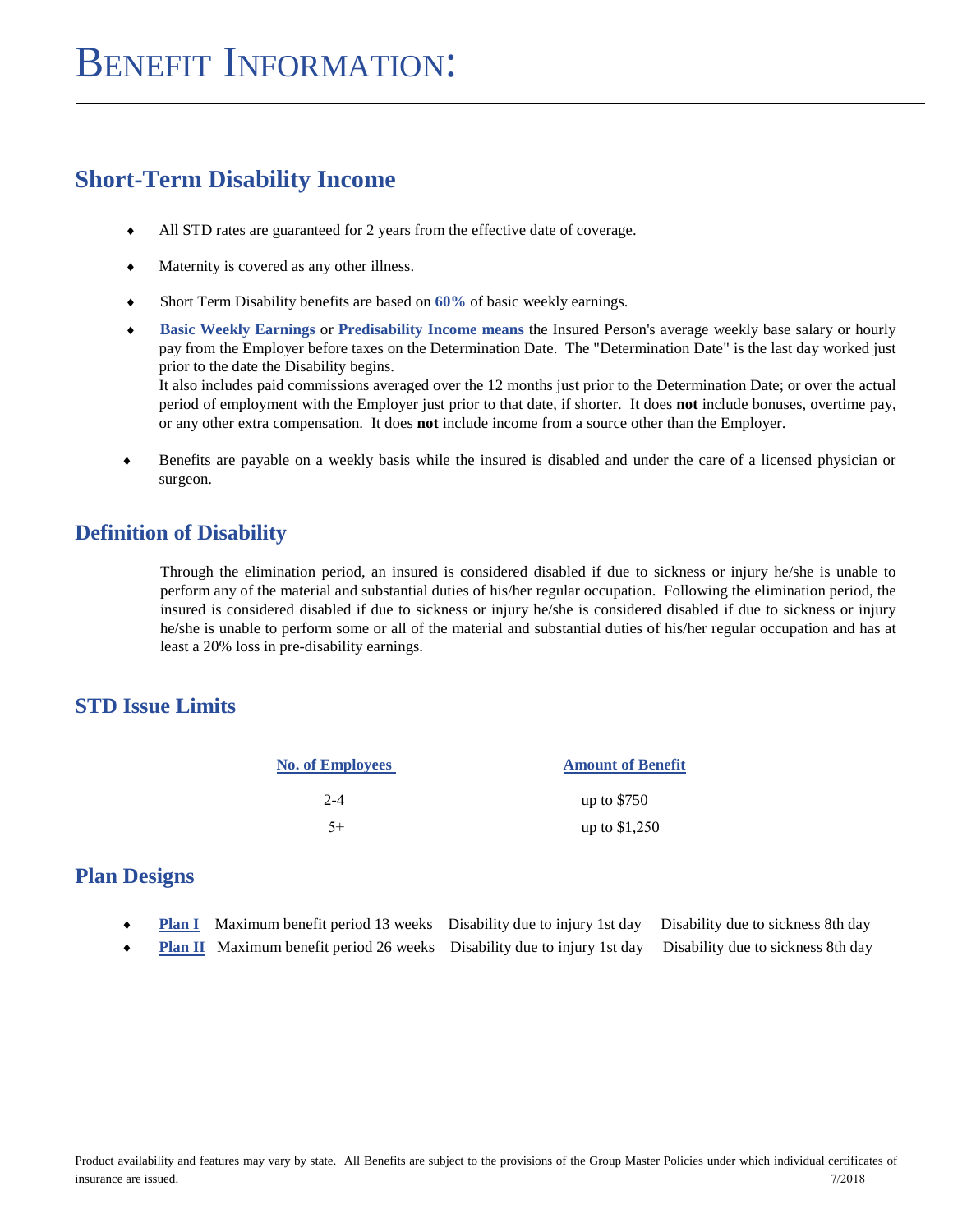### **Short-Term Disability Income**

- All STD rates are guaranteed for 2 years from the effective date of coverage.
- Maternity is covered as any other illness.
- Short Term Disability benefits are based on **60%** of basic weekly earnings.
- **Basic Weekly Earnings** or **Predisability Income means** the Insured Person's average weekly base salary or hourly pay from the Employer before taxes on the Determination Date. The "Determination Date" is the last day worked just prior to the date the Disability begins. It also includes paid commissions averaged over the 12 months just prior to the Determination Date; or over the actual

period of employment with the Employer just prior to that date, if shorter. It does **not** include bonuses, overtime pay, or any other extra compensation. It does **not** include income from a source other than the Employer.

 Benefits are payable on a weekly basis while the insured is disabled and under the care of a licensed physician or surgeon.

#### **Definition of Disability**

Through the elimination period, an insured is considered disabled if due to sickness or injury he/she is unable to perform any of the material and substantial duties of his/her regular occupation. Following the elimination period, the insured is considered disabled if due to sickness or injury he/she is considered disabled if due to sickness or injury he/she is unable to perform some or all of the material and substantial duties of his/her regular occupation and has at least a 20% loss in pre-disability earnings.

#### **STD Issue Limits**

| <b>No. of Employees</b> | <b>Amount of Benefit</b> |
|-------------------------|--------------------------|
| $2 - 4$                 | up to $$750$             |
| $5+$                    | up to $$1,250$           |

#### **Plan Designs**

- **Plan I** Maximum benefit period 13 weeks Disability due to injury 1st day Disability due to sickness 8th day
- **Plan II** Maximum benefit period 26 weeks Disability due to injury 1st day Disability due to sickness 8th day

Product availability and features may vary by state. All Benefits are subject to the provisions of the Group Master Policies under which individual certificates of insurance are issued. 7/2018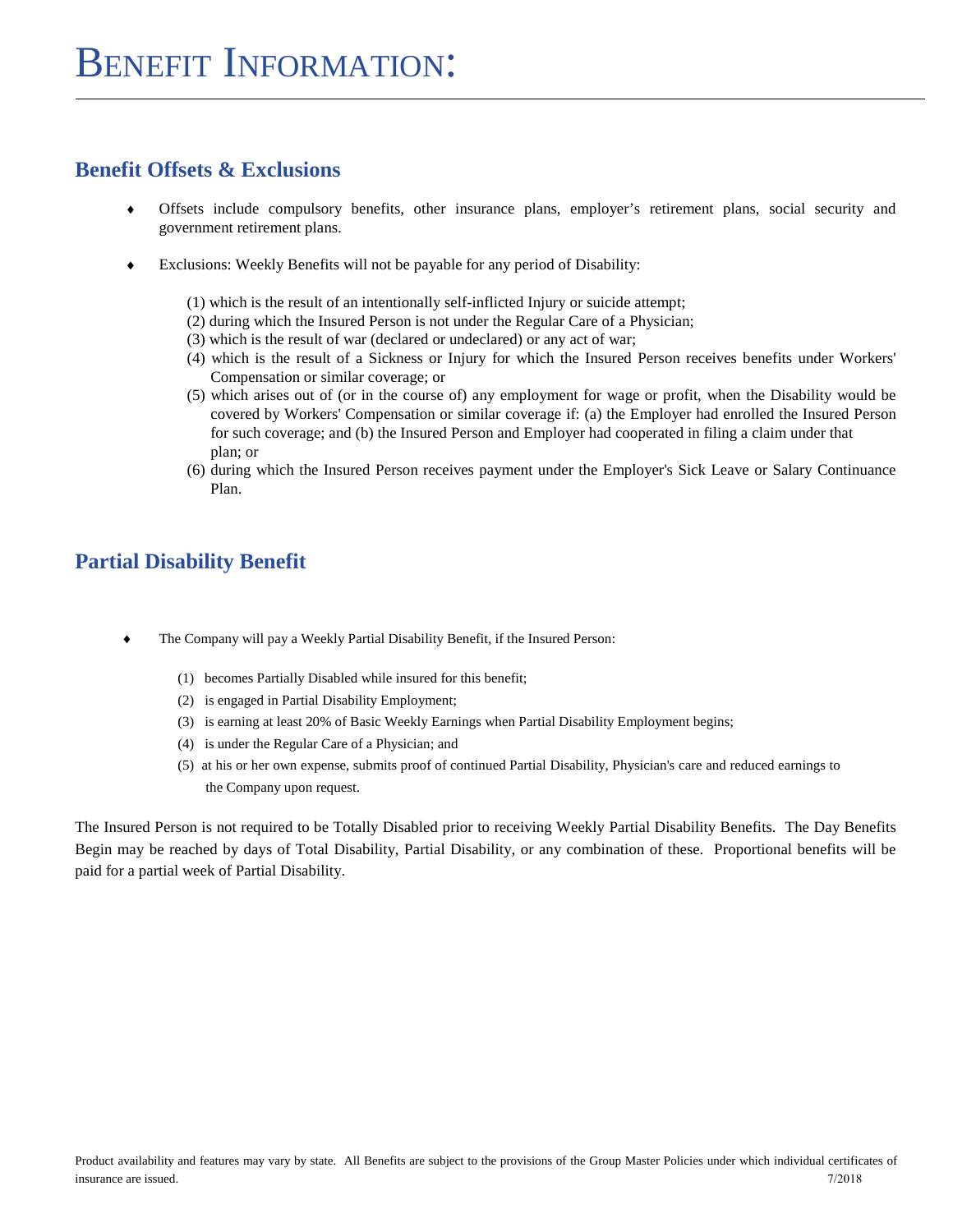#### **Benefit Offsets & Exclusions**

- Offsets include compulsory benefits, other insurance plans, employer's retirement plans, social security and government retirement plans.
- Exclusions: Weekly Benefits will not be payable for any period of Disability:
	- (1) which is the result of an intentionally self-inflicted Injury or suicide attempt;
	- (2) during which the Insured Person is not under the Regular Care of a Physician;
	- (3) which is the result of war (declared or undeclared) or any act of war;
	- (4) which is the result of a Sickness or Injury for which the Insured Person receives benefits under Workers' Compensation or similar coverage; or
	- (5) which arises out of (or in the course of) any employment for wage or profit, when the Disability would be covered by Workers' Compensation or similar coverage if: (a) the Employer had enrolled the Insured Person for such coverage; and (b) the Insured Person and Employer had cooperated in filing a claim under that plan; or
	- (6) during which the Insured Person receives payment under the Employer's Sick Leave or Salary Continuance Plan.

### **Partial Disability Benefit**

- The Company will pay a Weekly Partial Disability Benefit, if the Insured Person:
	- (1) becomes Partially Disabled while insured for this benefit;
	- (2) is engaged in Partial Disability Employment;
	- (3) is earning at least 20% of Basic Weekly Earnings when Partial Disability Employment begins;
	- (4) is under the Regular Care of a Physician; and
	- (5) at his or her own expense, submits proof of continued Partial Disability, Physician's care and reduced earnings to the Company upon request.

The Insured Person is not required to be Totally Disabled prior to receiving Weekly Partial Disability Benefits. The Day Benefits Begin may be reached by days of Total Disability, Partial Disability, or any combination of these. Proportional benefits will be paid for a partial week of Partial Disability.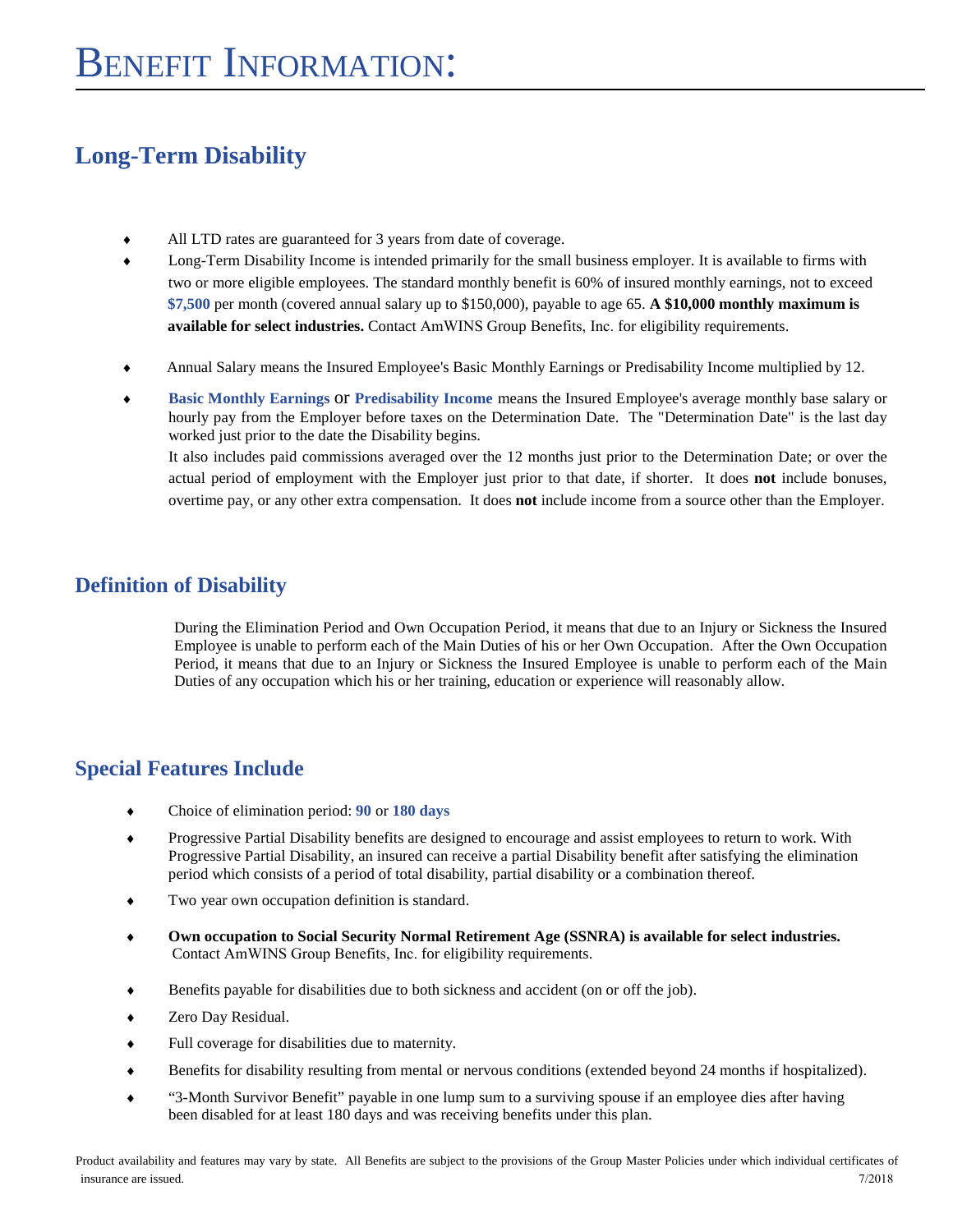### **Long-Term Disability**

- $\bullet$ All LTD rates are guaranteed for 3 years from date of coverage.
- $\blacklozenge$ Long-Term Disability Income is intended primarily for the small business employer. It is available to firms with two or more eligible employees. The standard monthly benefit is 60% of insured monthly earnings, not to exceed **\$7,500** per month (covered annual salary up to \$150,000), payable to age 65. **A \$10,000 monthly maximum is available for select industries.** Contact AmWINS Group Benefits, Inc. for eligibility requirements.
- Annual Salary means the Insured Employee's Basic Monthly Earnings or Predisability Income multiplied by 12.
- **Basic Monthly Earnings** or **Predisability Income** means the Insured Employee's average monthly base salary or hourly pay from the Employer before taxes on the Determination Date. The "Determination Date" is the last day worked just prior to the date the Disability begins.

It also includes paid commissions averaged over the 12 months just prior to the Determination Date; or over the actual period of employment with the Employer just prior to that date, if shorter. It does **not** include bonuses, overtime pay, or any other extra compensation. It does **not** include income from a source other than the Employer.

#### **Definition of Disability**

During the Elimination Period and Own Occupation Period, it means that due to an Injury or Sickness the Insured Employee is unable to perform each of the Main Duties of his or her Own Occupation. After the Own Occupation Period, it means that due to an Injury or Sickness the Insured Employee is unable to perform each of the Main Duties of any occupation which his or her training, education or experience will reasonably allow.

### **Special Features Include**

- Choice of elimination period: **90** or **180 days**
- Progressive Partial Disability benefits are designed to encourage and assist employees to return to work. With Progressive Partial Disability, an insured can receive a partial Disability benefit after satisfying the elimination period which consists of a period of total disability, partial disability or a combination thereof.
- Two year own occupation definition is standard.
- **Own occupation to Social Security Normal Retirement Age (SSNRA) is available for select industries.** Contact AmWINS Group Benefits, Inc. for eligibility requirements.
- Benefits payable for disabilities due to both sickness and accident (on or off the job).
- Zero Day Residual.
- Full coverage for disabilities due to maternity.
- Benefits for disability resulting from mental or nervous conditions (extended beyond 24 months if hospitalized).
- "3-Month Survivor Benefit" payable in one lump sum to a surviving spouse if an employee dies after having been disabled for at least 180 days and was receiving benefits under this plan.

Product availability and features may vary by state. All Benefits are subject to the provisions of the Group Master Policies under which individual certificates of insurance are issued. 7/2018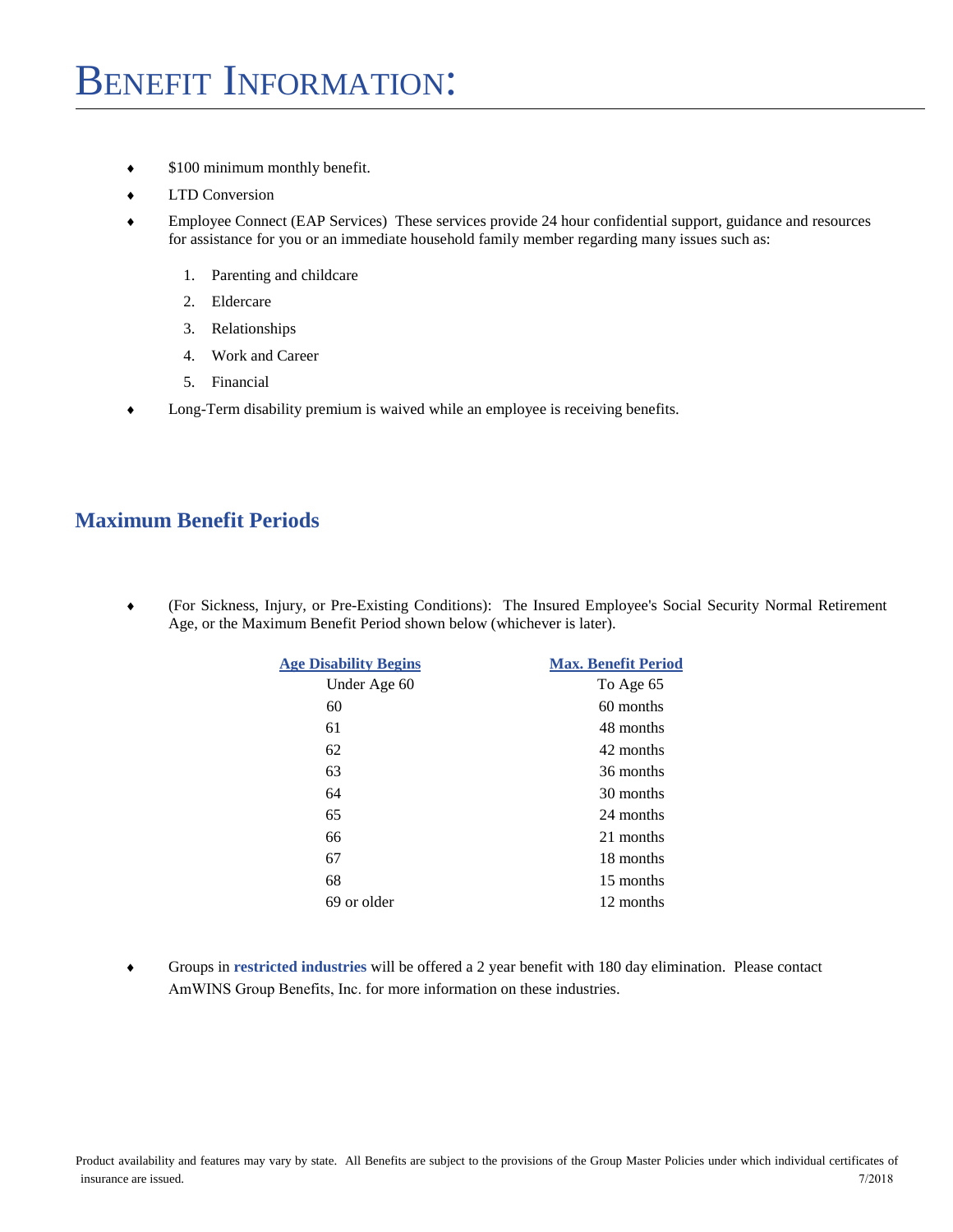- $\bullet$  \$100 minimum monthly benefit.
- $\triangleleft$  LTD Conversion
- Employee Connect (EAP Services) These services provide 24 hour confidential support, guidance and resources for assistance for you or an immediate household family member regarding many issues such as:
	- 1. Parenting and childcare
	- 2. Eldercare
	- 3. Relationships
	- 4. Work and Career
	- 5. Financial
- Long-Term disability premium is waived while an employee is receiving benefits.

#### **Maximum Benefit Periods**

 (For Sickness, Injury, or Pre-Existing Conditions): The Insured Employee's Social Security Normal Retirement Age, or the Maximum Benefit Period shown below (whichever is later).

| <b>Age Disability Begins</b> | <b>Max. Benefit Period</b> |
|------------------------------|----------------------------|
| Under Age 60                 | To Age 65                  |
| 60                           | 60 months                  |
| 61                           | 48 months                  |
| 62                           | 42 months                  |
| 63                           | 36 months                  |
| 64                           | 30 months                  |
| 65                           | 24 months                  |
| 66                           | 21 months                  |
| 67                           | 18 months                  |
| 68                           | 15 months                  |
| 69 or older                  | 12 months                  |
|                              |                            |

 Groups in **restricted industries** will be offered a 2 year benefit with 180 day elimination. Please contact AmWINS Group Benefits, Inc. for more information on these industries.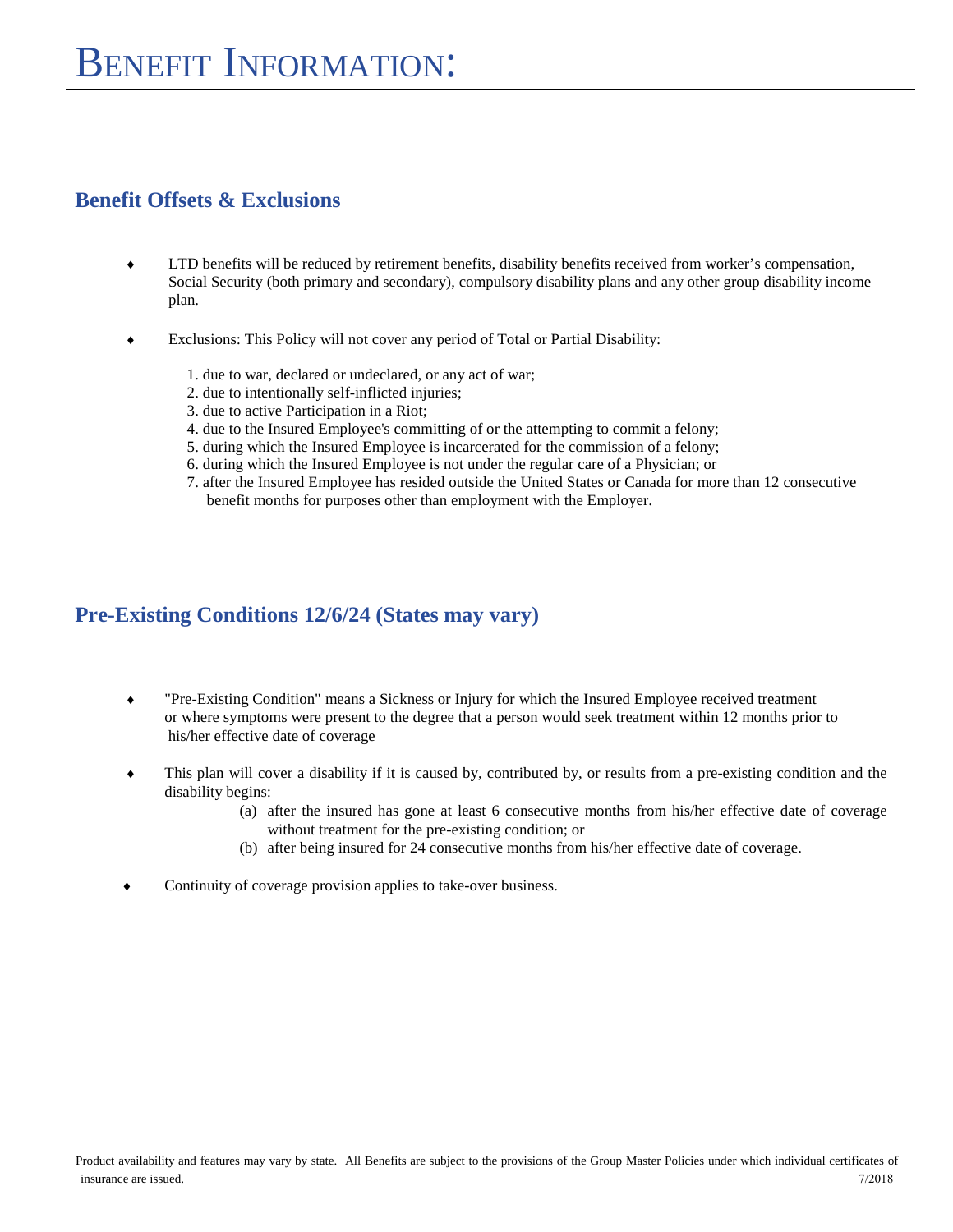#### **Benefit Offsets & Exclusions**

- LTD benefits will be reduced by retirement benefits, disability benefits received from worker's compensation, Social Security (both primary and secondary), compulsory disability plans and any other group disability income plan.
- Exclusions: This Policy will not cover any period of Total or Partial Disability:
	- 1. due to war, declared or undeclared, or any act of war;
	- 2. due to intentionally self-inflicted injuries;
	- 3. due to active Participation in a Riot;
	- 4. due to the Insured Employee's committing of or the attempting to commit a felony;
	- 5. during which the Insured Employee is incarcerated for the commission of a felony;
	- 6. during which the Insured Employee is not under the regular care of a Physician; or
	- 7. after the Insured Employee has resided outside the United States or Canada for more than 12 consecutive benefit months for purposes other than employment with the Employer.

#### **Pre-Existing Conditions 12/6/24 (States may vary)**

- "Pre-Existing Condition" means a Sickness or Injury for which the Insured Employee received treatment or where symptoms were present to the degree that a person would seek treatment within 12 months prior to his/her effective date of coverage
- This plan will cover a disability if it is caused by, contributed by, or results from a pre-existing condition and the disability begins:
	- (a) after the insured has gone at least 6 consecutive months from his/her effective date of coverage without treatment for the pre-existing condition; or
	- (b) after being insured for 24 consecutive months from his/her effective date of coverage.
- Continuity of coverage provision applies to take-over business.